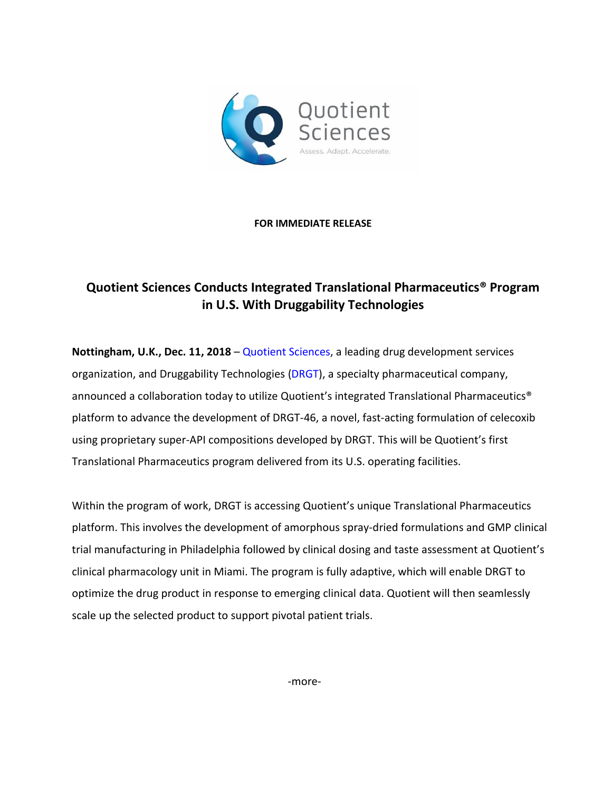

## **FOR IMMEDIATE RELEASE**

## **Quotient Sciences Conducts Integrated Translational Pharmaceutics® Program in U.S. With Druggability Technologies**

**Nottingham, U.K., Dec. 11, 2018** – [Quotient Sciences,](https://www.quotientsciences.com/) a leading drug development services organization, and Druggability Technologies [\(DRGT\)](http://www.drgtco.com/management/), a specialty pharmaceutical company, announced a collaboration today to utilize Quotient's integrated Translational Pharmaceutics® platform to advance the development of DRGT-46, a novel, fast-acting formulation of celecoxib using proprietary super-API compositions developed by DRGT. This will be Quotient's first Translational Pharmaceutics program delivered from its U.S. operating facilities.

Within the program of work, DRGT is accessing Quotient's unique Translational Pharmaceutics platform. This involves the development of amorphous spray-dried formulations and GMP clinical trial manufacturing in Philadelphia followed by clinical dosing and taste assessment at Quotient's clinical pharmacology unit in Miami. The program is fully adaptive, which will enable DRGT to optimize the drug product in response to emerging clinical data. Quotient will then seamlessly scale up the selected product to support pivotal patient trials.

-more-